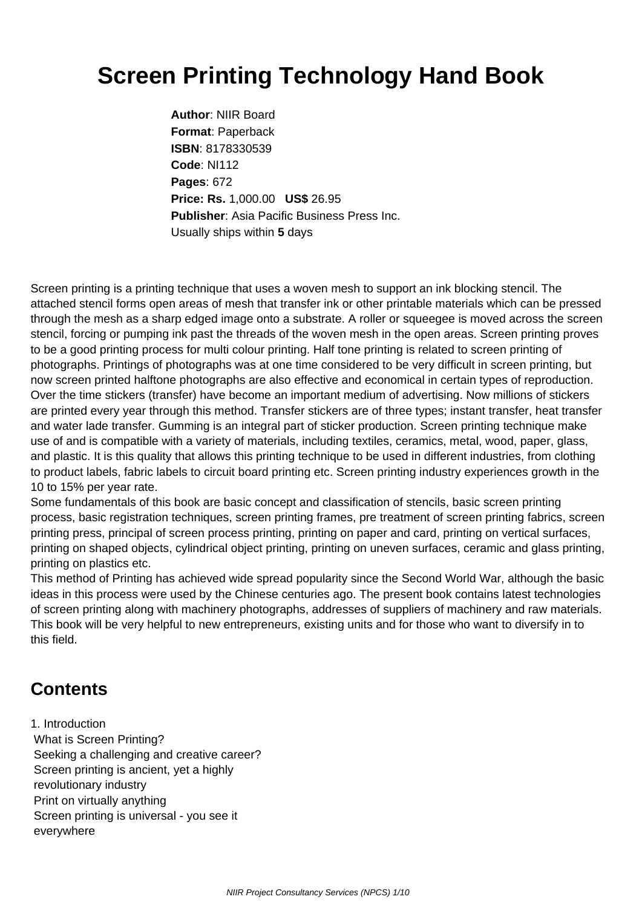## **Screen Printing Technology Hand Book**

**Author**: NIIR Board **Format**: Paperback **ISBN**: 8178330539 **Code**: NI112 **Pages**: 672 **Price: Rs.** 1,000.00 **US\$** 26.95 **Publisher**: Asia Pacific Business Press Inc. Usually ships within **5** days

Screen printing is a printing technique that uses a woven mesh to support an ink blocking stencil. The attached stencil forms open areas of mesh that transfer ink or other printable materials which can be pressed through the mesh as a sharp edged image onto a substrate. A roller or squeegee is moved across the screen stencil, forcing or pumping ink past the threads of the woven mesh in the open areas. Screen printing proves to be a good printing process for multi colour printing. Half tone printing is related to screen printing of photographs. Printings of photographs was at one time considered to be very difficult in screen printing, but now screen printed halftone photographs are also effective and economical in certain types of reproduction. Over the time stickers (transfer) have become an important medium of advertising. Now millions of stickers are printed every year through this method. Transfer stickers are of three types; instant transfer, heat transfer and water lade transfer. Gumming is an integral part of sticker production. Screen printing technique make use of and is compatible with a variety of materials, including textiles, ceramics, metal, wood, paper, glass, and plastic. It is this quality that allows this printing technique to be used in different industries, from clothing to product labels, fabric labels to circuit board printing etc. Screen printing industry experiences growth in the 10 to 15% per year rate.

Some fundamentals of this book are basic concept and classification of stencils, basic screen printing process, basic registration techniques, screen printing frames, pre treatment of screen printing fabrics, screen printing press, principal of screen process printing, printing on paper and card, printing on vertical surfaces, printing on shaped objects, cylindrical object printing, printing on uneven surfaces, ceramic and glass printing, printing on plastics etc.

This method of Printing has achieved wide spread popularity since the Second World War, although the basic ideas in this process were used by the Chinese centuries ago. The present book contains latest technologies of screen printing along with machinery photographs, addresses of suppliers of machinery and raw materials. This book will be very helpful to new entrepreneurs, existing units and for those who want to diversify in to this field.

## **Contents**

1. Introduction What is Screen Printing? Seeking a challenging and creative career? Screen printing is ancient, yet a highly revolutionary industry Print on virtually anything Screen printing is universal - you see it everywhere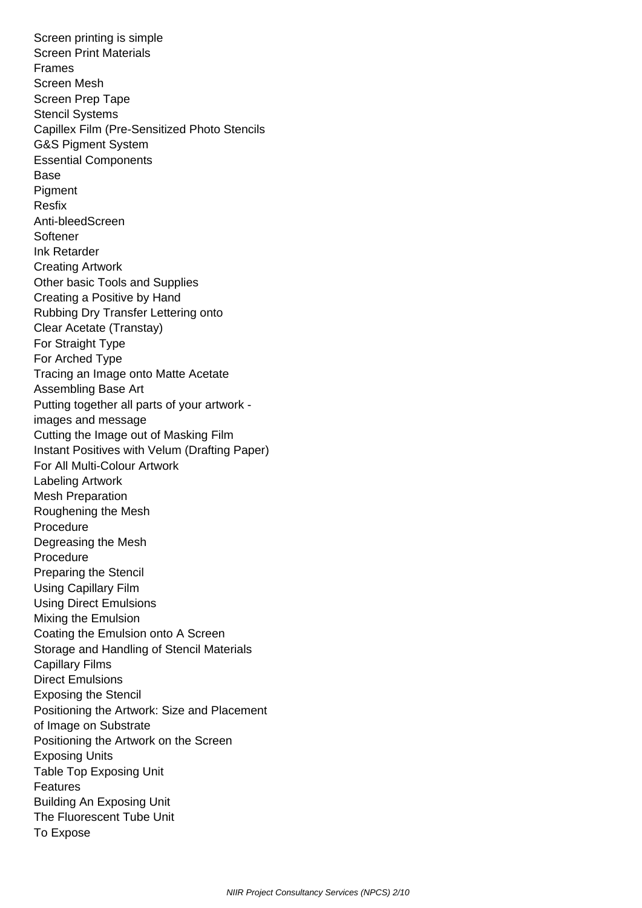Screen printing is simple Screen Print Materials Frames Screen Mesh Screen Prep Tape Stencil Systems Capillex Film (Pre-Sensitized Photo Stencils G&S Pigment System Essential Components Base **Pigment**  Resfix Anti-bleedScreen Softener Ink Retarder Creating Artwork Other basic Tools and Supplies Creating a Positive by Hand Rubbing Dry Transfer Lettering onto Clear Acetate (Transtay) For Straight Type For Arched Type Tracing an Image onto Matte Acetate Assembling Base Art Putting together all parts of your artwork images and message Cutting the Image out of Masking Film Instant Positives with Velum (Drafting Paper) For All Multi-Colour Artwork Labeling Artwork Mesh Preparation Roughening the Mesh Procedure Degreasing the Mesh Procedure Preparing the Stencil Using Capillary Film Using Direct Emulsions Mixing the Emulsion Coating the Emulsion onto A Screen Storage and Handling of Stencil Materials Capillary Films Direct Emulsions Exposing the Stencil Positioning the Artwork: Size and Placement of Image on Substrate Positioning the Artwork on the Screen Exposing Units Table Top Exposing Unit Features Building An Exposing Unit The Fluorescent Tube Unit To Expose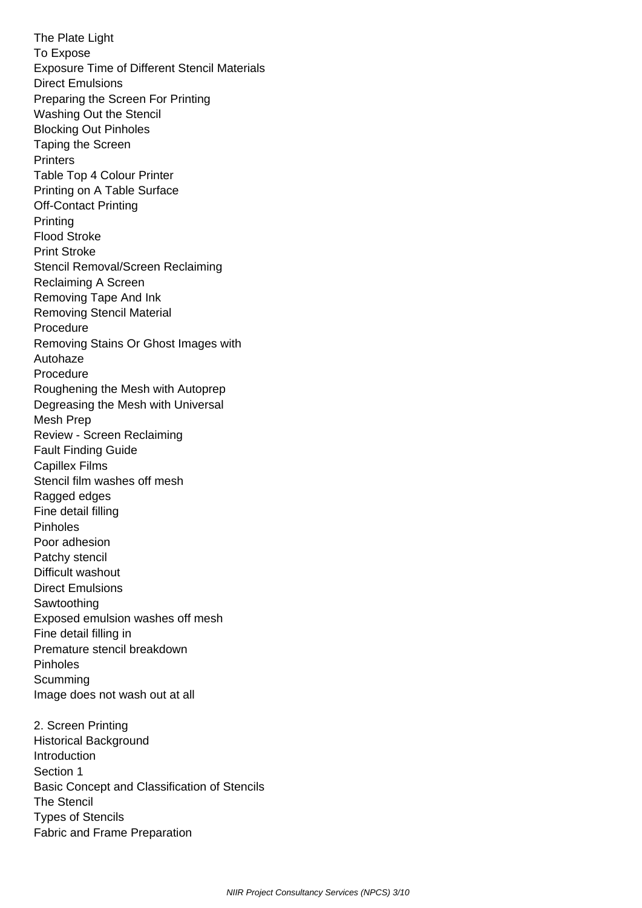The Plate Light To Expose Exposure Time of Different Stencil Materials Direct Emulsions Preparing the Screen For Printing Washing Out the Stencil Blocking Out Pinholes Taping the Screen **Printers**  Table Top 4 Colour Printer Printing on A Table Surface Off-Contact Printing **Printing**  Flood Stroke Print Stroke Stencil Removal/Screen Reclaiming Reclaiming A Screen Removing Tape And Ink Removing Stencil Material **Procedure**  Removing Stains Or Ghost Images with Autohaze Procedure Roughening the Mesh with Autoprep Degreasing the Mesh with Universal Mesh Prep Review - Screen Reclaiming Fault Finding Guide Capillex Films Stencil film washes off mesh Ragged edges Fine detail filling Pinholes Poor adhesion Patchy stencil Difficult washout Direct Emulsions Sawtoothing Exposed emulsion washes off mesh Fine detail filling in Premature stencil breakdown Pinholes **Scumming**  Image does not wash out at all 2. Screen Printing

 Historical Background **Introduction**  Section 1 Basic Concept and Classification of Stencils The Stencil Types of Stencils Fabric and Frame Preparation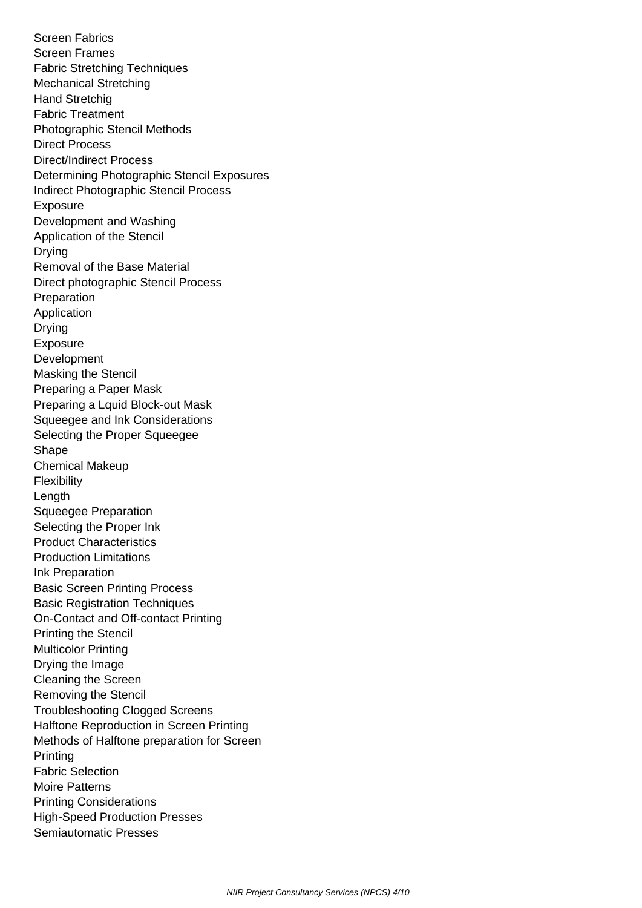Screen Fabrics Screen Frames Fabric Stretching Techniques Mechanical Stretching Hand Stretchig Fabric Treatment Photographic Stencil Methods Direct Process Direct/Indirect Process Determining Photographic Stencil Exposures Indirect Photographic Stencil Process Exposure Development and Washing Application of the Stencil **Drving**  Removal of the Base Material Direct photographic Stencil Process Preparation Application Drying Exposure Development Masking the Stencil Preparing a Paper Mask Preparing a Lquid Block-out Mask Squeegee and Ink Considerations Selecting the Proper Squeegee Shape Chemical Makeup **Flexibility**  Length Squeegee Preparation Selecting the Proper Ink Product Characteristics Production Limitations Ink Preparation Basic Screen Printing Process Basic Registration Techniques On-Contact and Off-contact Printing Printing the Stencil Multicolor Printing Drying the Image Cleaning the Screen Removing the Stencil Troubleshooting Clogged Screens Halftone Reproduction in Screen Printing Methods of Halftone preparation for Screen **Printing**  Fabric Selection Moire Patterns Printing Considerations High-Speed Production Presses Semiautomatic Presses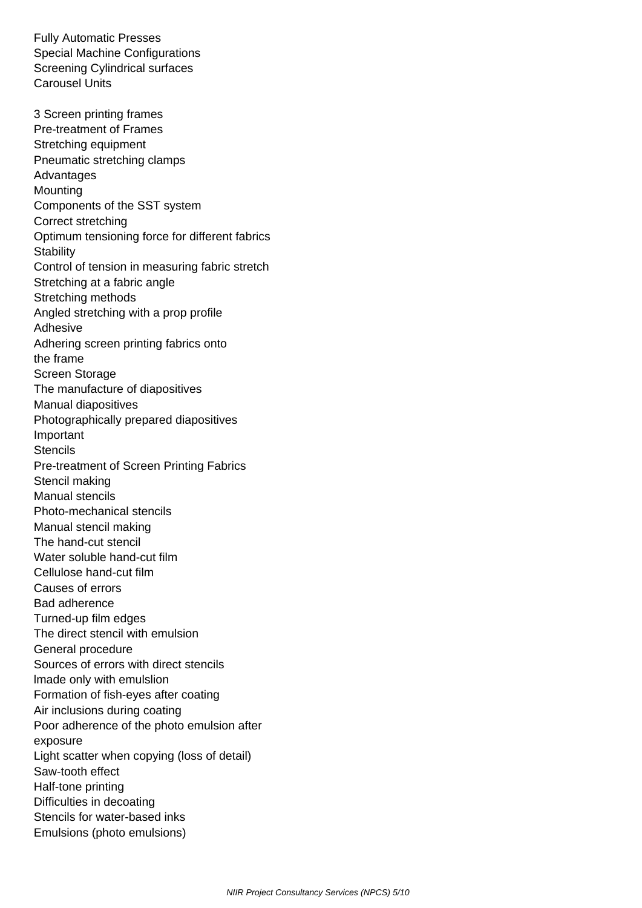Fully Automatic Presses Special Machine Configurations Screening Cylindrical surfaces Carousel Units

 3 Screen printing frames Pre-treatment of Frames Stretching equipment Pneumatic stretching clamps Advantages **Mounting**  Components of the SST system Correct stretching Optimum tensioning force for different fabrics **Stability**  Control of tension in measuring fabric stretch Stretching at a fabric angle Stretching methods Angled stretching with a prop profile Adhesive Adhering screen printing fabrics onto the frame Screen Storage The manufacture of diapositives Manual diapositives Photographically prepared diapositives Important **Stencils**  Pre-treatment of Screen Printing Fabrics Stencil making Manual stencils Photo-mechanical stencils Manual stencil making The hand-cut stencil Water soluble hand-cut film Cellulose hand-cut film Causes of errors Bad adherence Turned-up film edges The direct stencil with emulsion General procedure Sources of errors with direct stencils lmade only with emulslion Formation of fish-eyes after coating Air inclusions during coating Poor adherence of the photo emulsion after exposure Light scatter when copying (loss of detail) Saw-tooth effect Half-tone printing Difficulties in decoating Stencils for water-based inks Emulsions (photo emulsions)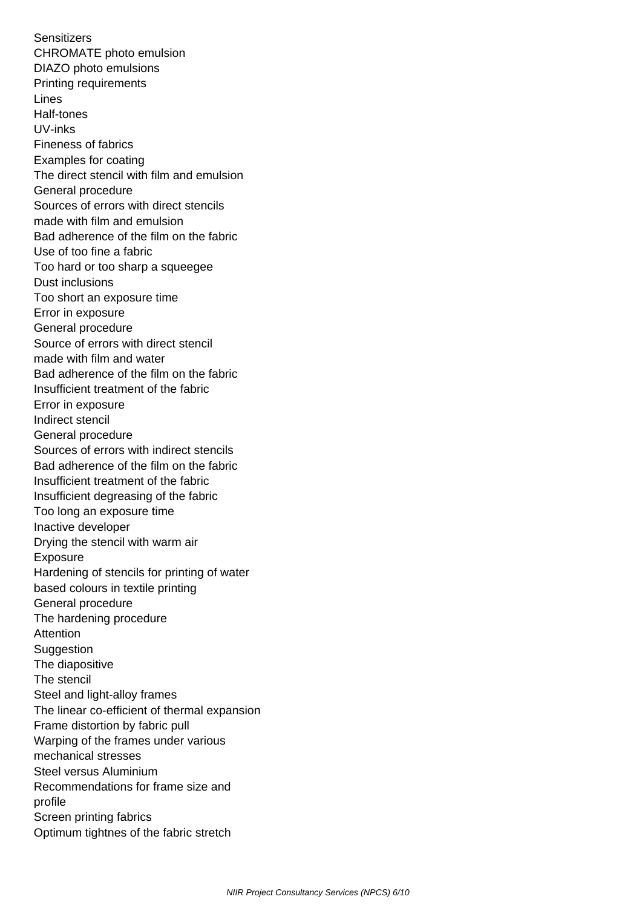**Sensitizers**  CHROMATE photo emulsion DIAZO photo emulsions Printing requirements Lines Half-tones UV-inks Fineness of fabrics Examples for coating The direct stencil with film and emulsion General procedure Sources of errors with direct stencils made with film and emulsion Bad adherence of the film on the fabric Use of too fine a fabric Too hard or too sharp a squeegee Dust inclusions Too short an exposure time Error in exposure General procedure Source of errors with direct stencil made with film and water Bad adherence of the film on the fabric Insufficient treatment of the fabric Error in exposure Indirect stencil General procedure Sources of errors with indirect stencils Bad adherence of the film on the fabric Insufficient treatment of the fabric Insufficient degreasing of the fabric Too long an exposure time Inactive developer Drying the stencil with warm air Exposure Hardening of stencils for printing of water based colours in textile printing General procedure The hardening procedure Attention Suggestion The diapositive The stencil Steel and light-alloy frames The linear co-efficient of thermal expansion Frame distortion by fabric pull Warping of the frames under various mechanical stresses Steel versus Aluminium Recommendations for frame size and profile Screen printing fabrics Optimum tightnes of the fabric stretch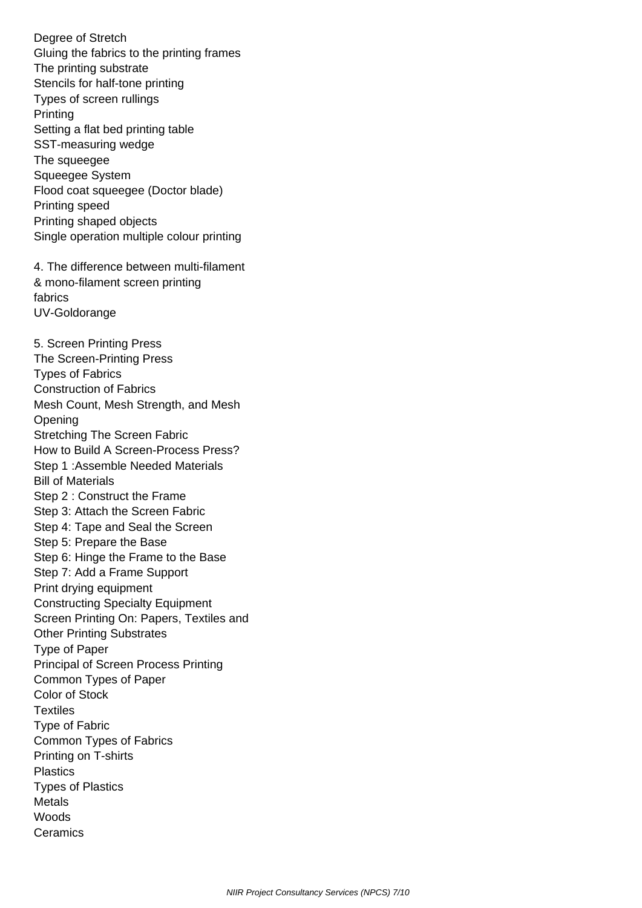Degree of Stretch Gluing the fabrics to the printing frames The printing substrate Stencils for half-tone printing Types of screen rullings Printing Setting a flat bed printing table SST-measuring wedge The squeegee Squeegee System Flood coat squeegee (Doctor blade) Printing speed Printing shaped objects Single operation multiple colour printing 4. The difference between multi-filament & mono-filament screen printing fabrics UV-Goldorange 5. Screen Printing Press The Screen-Printing Press Types of Fabrics Construction of Fabrics Mesh Count, Mesh Strength, and Mesh **Opening**  Stretching The Screen Fabric How to Build A Screen-Process Press? Step 1 :Assemble Needed Materials Bill of Materials Step 2 : Construct the Frame Step 3: Attach the Screen Fabric Step 4: Tape and Seal the Screen Step 5: Prepare the Base Step 6: Hinge the Frame to the Base Step 7: Add a Frame Support Print drying equipment Constructing Specialty Equipment Screen Printing On: Papers, Textiles and Other Printing Substrates Type of Paper Principal of Screen Process Printing Common Types of Paper Color of Stock **Textiles**  Type of Fabric Common Types of Fabrics Printing on T-shirts **Plastics**  Types of Plastics **Metals**  Woods **Ceramics**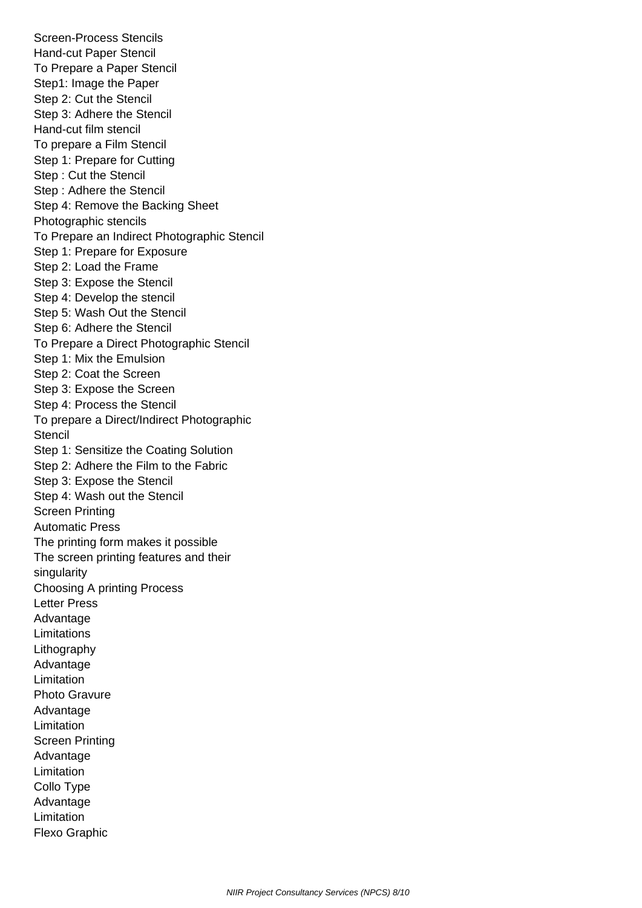Screen-Process Stencils Hand-cut Paper Stencil To Prepare a Paper Stencil Step1: Image the Paper Step 2: Cut the Stencil Step 3: Adhere the Stencil Hand-cut film stencil To prepare a Film Stencil Step 1: Prepare for Cutting Step : Cut the Stencil Step : Adhere the Stencil Step 4: Remove the Backing Sheet Photographic stencils To Prepare an Indirect Photographic Stencil Step 1: Prepare for Exposure Step 2: Load the Frame Step 3: Expose the Stencil Step 4: Develop the stencil Step 5: Wash Out the Stencil Step 6: Adhere the Stencil To Prepare a Direct Photographic Stencil Step 1: Mix the Emulsion Step 2: Coat the Screen Step 3: Expose the Screen Step 4: Process the Stencil To prepare a Direct/Indirect Photographic **Stencil**  Step 1: Sensitize the Coating Solution Step 2: Adhere the Film to the Fabric Step 3: Expose the Stencil Step 4: Wash out the Stencil Screen Printing Automatic Press The printing form makes it possible The screen printing features and their singularity Choosing A printing Process Letter Press Advantage Limitations Lithography Advantage Limitation Photo Gravure Advantage Limitation Screen Printing Advantage Limitation Collo Type Advantage Limitation Flexo Graphic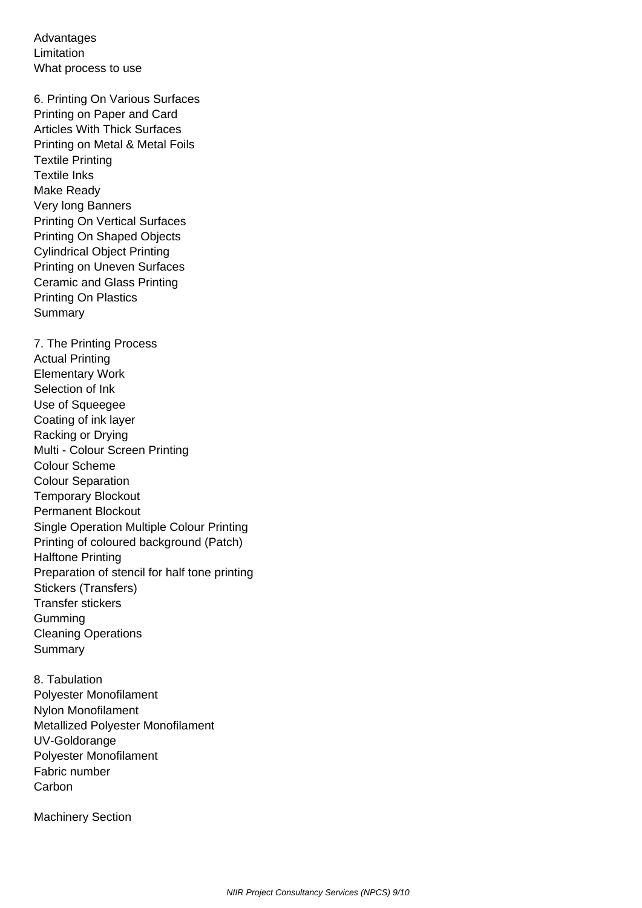Advantages Limitation What process to use

 6. Printing On Various Surfaces Printing on Paper and Card Articles With Thick Surfaces Printing on Metal & Metal Foils Textile Printing Textile Inks Make Ready Very long Banners Printing On Vertical Surfaces Printing On Shaped Objects Cylindrical Object Printing Printing on Uneven Surfaces Ceramic and Glass Printing Printing On Plastics **Summary** 

 7. The Printing Process Actual Printing Elementary Work Selection of Ink Use of Squeegee Coating of ink layer Racking or Drying Multi - Colour Screen Printing Colour Scheme Colour Separation Temporary Blockout Permanent Blockout Single Operation Multiple Colour Printing Printing of coloured background (Patch) Halftone Printing Preparation of stencil for half tone printing Stickers (Transfers) Transfer stickers Gumming Cleaning Operations **Summary** 

 8. Tabulation Polyester Monofilament Nylon Monofilament Metallized Polyester Monofilament UV-Goldorange Polyester Monofilament Fabric number **Carbon** 

Machinery Section